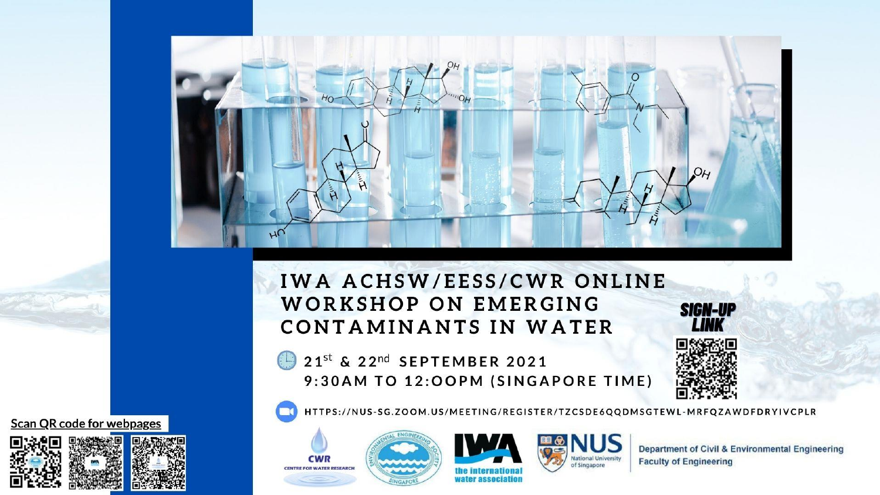

### **IWA ACHSW/EESS/CWR ONLINE WORKSHOP ON EMERGING CONTAMINANTS IN WATER**

21st & 22nd SEPTEMBER 2021 9:30AM TO 12:OOPM (SINGAPORE TIME)



HTTPS://NUS-SG.ZOOM.US/MEETING/REGISTER/TZCSDE6QQDMSGTEWL-MRFQZAWDFDRYIVCPLR





of Singapore

**Department of Civil & Environmental Engineering Faculty of Engineering** 

**Scan QR code for webpages** 

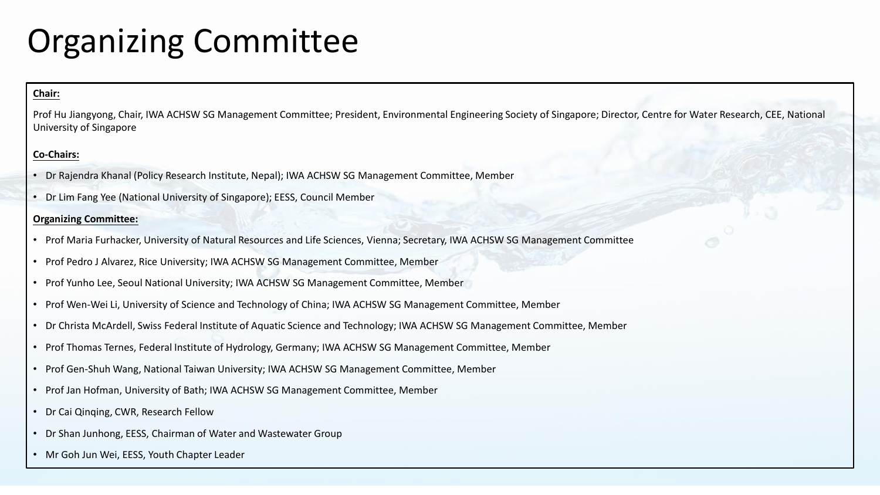### Organizing Committee

#### **Chair:**

Prof Hu Jiangyong, Chair, IWA ACHSW SG Management Committee; President, Environmental Engineering Society of Singapore; Director, Centre for Water Research, CEE, National University of Singapore

#### **Co-Chairs:**

- Dr Rajendra Khanal (Policy Research Institute, Nepal); IWA ACHSW SG Management Committee, Member
- Dr Lim Fang Yee (National University of Singapore); EESS, Council Member

#### **Organizing Committee:**

- Prof Maria Furhacker, University of Natural Resources and Life Sciences, Vienna; Secretary, IWA ACHSW SG Management Committee
- Prof Pedro J Alvarez, Rice University; IWA ACHSW SG Management Committee, Member
- Prof Yunho Lee, Seoul National University; IWA ACHSW SG Management Committee, Member
- Prof Wen-Wei Li, University of Science and Technology of China; IWA ACHSW SG Management Committee, Member
- Dr Christa McArdell, Swiss Federal Institute of Aquatic Science and Technology; IWA ACHSW SG Management Committee, Member
- Prof Thomas Ternes, Federal Institute of Hydrology, Germany; IWA ACHSW SG Management Committee, Member
- Prof Gen-Shuh Wang, National Taiwan University; IWA ACHSW SG Management Committee, Member
- Prof Jan Hofman, University of Bath; IWA ACHSW SG Management Committee, Member
- Dr Cai Qinqing, CWR, Research Fellow
- Dr Shan Junhong, EESS, Chairman of Water and Wastewater Group
- Mr Goh Jun Wei, EESS, Youth Chapter Leader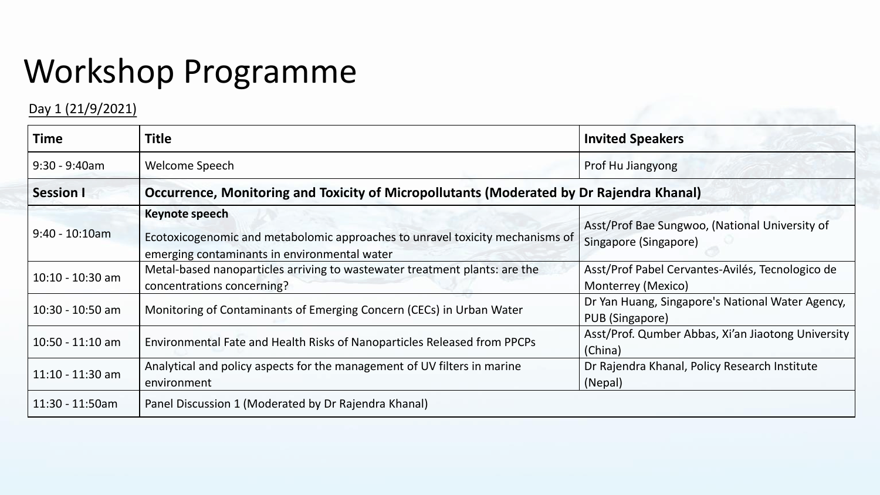## Workshop Programme

### Day 1 (21/9/2021)

| <b>Time</b>        | <b>Title</b>                                                                                                                                    | <b>Invited Speakers</b>                                                 |
|--------------------|-------------------------------------------------------------------------------------------------------------------------------------------------|-------------------------------------------------------------------------|
| $9:30 - 9:40$ am   | Welcome Speech                                                                                                                                  | Prof Hu Jiangyong                                                       |
| <b>Session I</b>   | Occurrence, Monitoring and Toxicity of Micropollutants (Moderated by Dr Rajendra Khanal)                                                        |                                                                         |
| $9:40 - 10:10$ am  | Keynote speech<br>Ecotoxicogenomic and metabolomic approaches to unravel toxicity mechanisms of<br>emerging contaminants in environmental water | Asst/Prof Bae Sungwoo, (National University of<br>Singapore (Singapore) |
| $10:10 - 10:30$ am | Metal-based nanoparticles arriving to wastewater treatment plants: are the<br>concentrations concerning?                                        | Asst/Prof Pabel Cervantes-Avilés, Tecnologico de<br>Monterrey (Mexico)  |
| 10:30 - 10:50 am   | Monitoring of Contaminants of Emerging Concern (CECs) in Urban Water                                                                            | Dr Yan Huang, Singapore's National Water Agency,<br>PUB (Singapore)     |
| $10:50 - 11:10$ am | Environmental Fate and Health Risks of Nanoparticles Released from PPCPs                                                                        | Asst/Prof. Qumber Abbas, Xi'an Jiaotong University<br>(China)           |
| $11:10 - 11:30$ am | Analytical and policy aspects for the management of UV filters in marine<br>environment                                                         | Dr Rajendra Khanal, Policy Research Institute<br>(Nepal)                |
| 11:30 - 11:50am    | Panel Discussion 1 (Moderated by Dr Rajendra Khanal)                                                                                            |                                                                         |